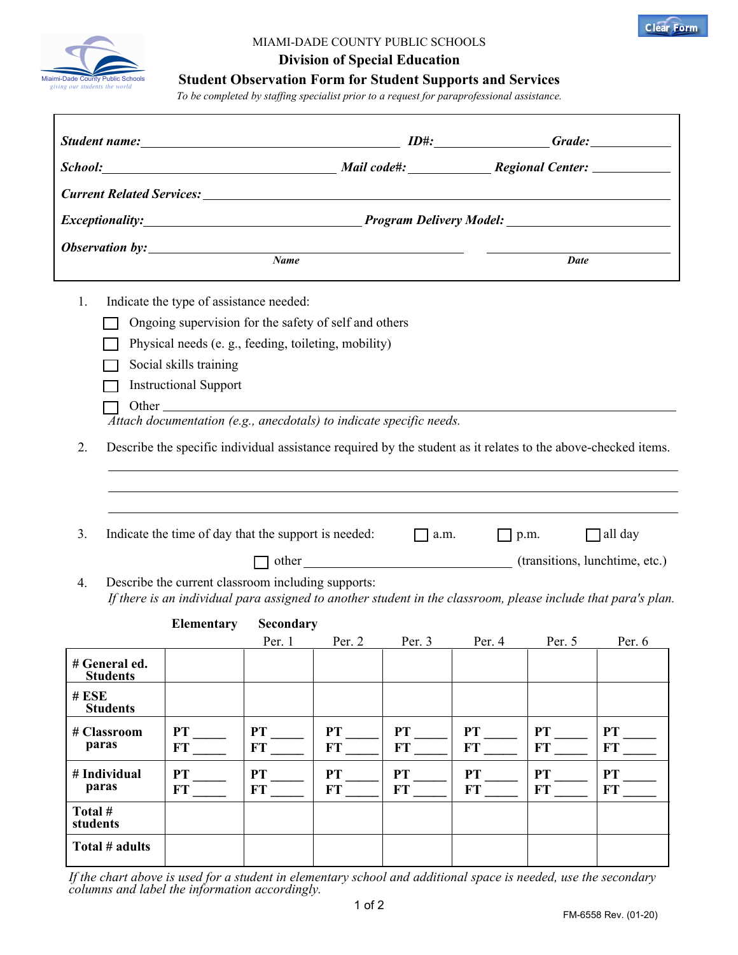



## MIAMI-DADE COUNTY PUBLIC SCHOOLS

**Division of Special Education**

**Student Observation Form for Student Supports and Services**

*To be completed by staffing specialist prior to a request for paraprofessional assistance.*

|                                                                                                                                                                           | Student name: Grade: Grade: Grade: Grade: Grade: Grade: Grade: Grade: Grade: Grade: Grade: Grade: Grade: Grade: Grade: Grade: Grade: Grade: Grade: Grade: Grade: Grade: Grade: Grade: Grade: Grade: Grade: Grade: Grade: Grade |                        |                        |                        |                 |                        |                                      |  |  |
|---------------------------------------------------------------------------------------------------------------------------------------------------------------------------|--------------------------------------------------------------------------------------------------------------------------------------------------------------------------------------------------------------------------------|------------------------|------------------------|------------------------|-----------------|------------------------|--------------------------------------|--|--|
|                                                                                                                                                                           | School: Mail code#: Regional Center:                                                                                                                                                                                           |                        |                        |                        |                 |                        |                                      |  |  |
|                                                                                                                                                                           |                                                                                                                                                                                                                                |                        |                        |                        |                 |                        |                                      |  |  |
| Exceptionality: Program Delivery Model: Networkshipsing Program Delivery Model:                                                                                           |                                                                                                                                                                                                                                |                        |                        |                        |                 |                        |                                      |  |  |
| $\sum_{\text{Name}}$                                                                                                                                                      |                                                                                                                                                                                                                                |                        |                        |                        |                 | <b>Date</b>            |                                      |  |  |
| 1.                                                                                                                                                                        | Indicate the type of assistance needed:                                                                                                                                                                                        |                        |                        |                        |                 |                        |                                      |  |  |
| Ongoing supervision for the safety of self and others                                                                                                                     |                                                                                                                                                                                                                                |                        |                        |                        |                 |                        |                                      |  |  |
| Physical needs (e. g., feeding, toileting, mobility)                                                                                                                      |                                                                                                                                                                                                                                |                        |                        |                        |                 |                        |                                      |  |  |
|                                                                                                                                                                           | Social skills training                                                                                                                                                                                                         |                        |                        |                        |                 |                        |                                      |  |  |
|                                                                                                                                                                           | <b>Instructional Support</b>                                                                                                                                                                                                   |                        |                        |                        |                 |                        |                                      |  |  |
|                                                                                                                                                                           | $\overline{A}$ ttach documentation (e.g., anecdotals) to indicate specific needs.                                                                                                                                              |                        |                        |                        |                 |                        |                                      |  |  |
|                                                                                                                                                                           |                                                                                                                                                                                                                                |                        |                        |                        |                 |                        |                                      |  |  |
|                                                                                                                                                                           | Describe the specific individual assistance required by the student as it relates to the above-checked items.<br>2.                                                                                                            |                        |                        |                        |                 |                        |                                      |  |  |
|                                                                                                                                                                           |                                                                                                                                                                                                                                |                        |                        |                        |                 |                        |                                      |  |  |
|                                                                                                                                                                           |                                                                                                                                                                                                                                |                        |                        |                        |                 |                        |                                      |  |  |
| Indicate the time of day that the support is needed: $\Box$ a.m.<br>$\Box$ all day<br>3.<br>$\Box$ p.m.                                                                   |                                                                                                                                                                                                                                |                        |                        |                        |                 |                        |                                      |  |  |
|                                                                                                                                                                           |                                                                                                                                                                                                                                |                        |                        |                        |                 |                        | other (transitions, lunchtime, etc.) |  |  |
| Describe the current classroom including supports:<br>4.<br>If there is an individual para assigned to another student in the classroom, please include that para's plan. |                                                                                                                                                                                                                                |                        |                        |                        |                 |                        |                                      |  |  |
|                                                                                                                                                                           | <b>Elementary</b>                                                                                                                                                                                                              | Secondary              |                        |                        |                 |                        |                                      |  |  |
|                                                                                                                                                                           |                                                                                                                                                                                                                                | Per. 1                 | Per. 2                 |                        | Per. 3 Per. 4   | Per. $5$               | Per. 6                               |  |  |
| # General ed.<br><b>Students</b>                                                                                                                                          |                                                                                                                                                                                                                                |                        |                        |                        |                 |                        |                                      |  |  |
| # ESE<br><b>Students</b>                                                                                                                                                  |                                                                                                                                                                                                                                |                        |                        |                        |                 |                        |                                      |  |  |
| # Classroom                                                                                                                                                               | PT                                                                                                                                                                                                                             | PT                     | PT                     | <b>PT</b>              | <b>PT</b>       | <b>PT</b>              | PT                                   |  |  |
| paras                                                                                                                                                                     | FT                                                                                                                                                                                                                             | <b>FT</b>              | FT                     | <b>FT</b>              | <b>FT</b>       | <b>FT</b>              | FT                                   |  |  |
| # Individual<br>paras                                                                                                                                                     | PT<br><b>FT</b>                                                                                                                                                                                                                | <b>PT</b><br><b>FT</b> | <b>PT</b><br><b>FT</b> | <b>PT</b><br><b>FT</b> | PT<br><b>FT</b> | <b>PT</b><br><b>FT</b> | <b>PT</b><br><b>FT</b>               |  |  |
| Total #<br>students                                                                                                                                                       |                                                                                                                                                                                                                                |                        |                        |                        |                 |                        |                                      |  |  |
| Total # adults                                                                                                                                                            |                                                                                                                                                                                                                                |                        |                        |                        |                 |                        |                                      |  |  |

*If the chart above is used for a student in elementary school and additional space is needed, use the secondary columns and label the information accordingly.*